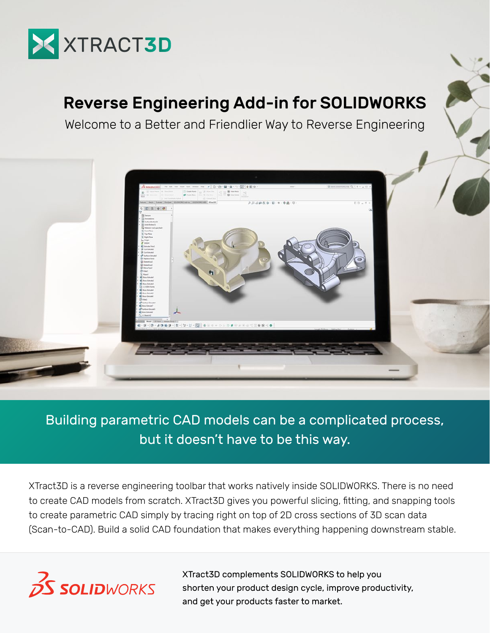

# Reverse Engineering Add-in for SOLIDWORKS

Welcome to a Better and Friendlier Way to Reverse Engineering



### Building parametric CAD models can be a complicated process, but it doesn't have to be this way.

XTract3D is a reverse engineering toolbar that works natively inside SOLIDWORKS. There is no need to create CAD models from scratch. XTract3D gives you powerful slicing, fitting, and snapping tools to create parametric CAD simply by tracing right on top of 2D cross sections of 3D scan data (Scan-to-CAD). Build a solid CAD foundation that makes everything happening downstream stable.



XTract3D complements SOLIDWORKS to help you shorten your product design cycle, improve productivity, and get your products faster to market.